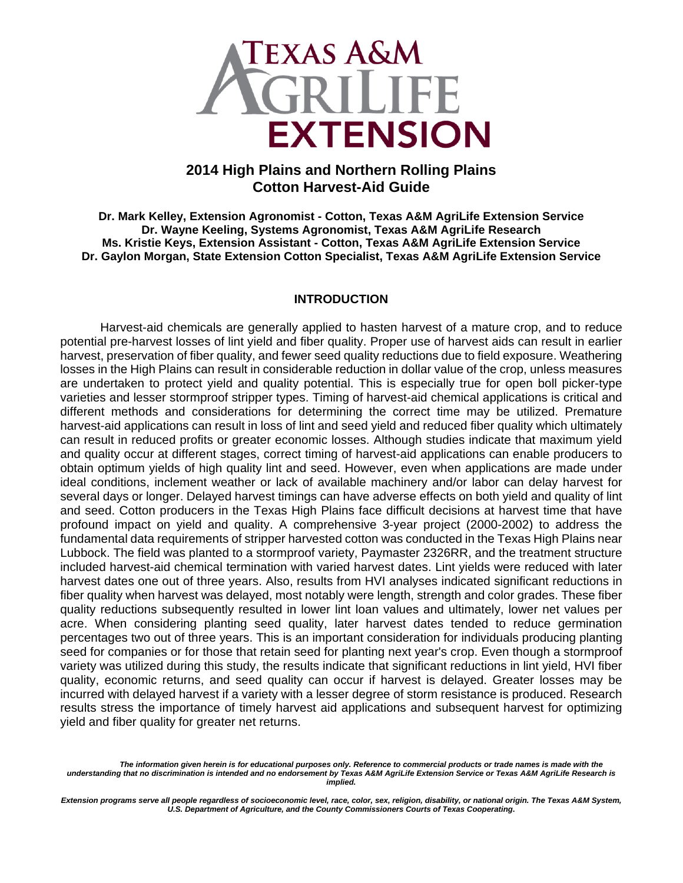

# **2014 High Plains and Northern Rolling Plains Cotton Harvest-Aid Guide**

**Dr. Mark Kelley, Extension Agronomist - Cotton, Texas A&M AgriLife Extension Service Dr. Wayne Keeling, Systems Agronomist, Texas A&M AgriLife Research Ms. Kristie Keys, Extension Assistant - Cotton, Texas A&M AgriLife Extension Service Dr. Gaylon Morgan, State Extension Cotton Specialist, Texas A&M AgriLife Extension Service** 

#### **INTRODUCTION**

Harvest-aid chemicals are generally applied to hasten harvest of a mature crop, and to reduce potential pre-harvest losses of lint yield and fiber quality. Proper use of harvest aids can result in earlier harvest, preservation of fiber quality, and fewer seed quality reductions due to field exposure. Weathering losses in the High Plains can result in considerable reduction in dollar value of the crop, unless measures are undertaken to protect yield and quality potential. This is especially true for open boll picker-type varieties and lesser stormproof stripper types. Timing of harvest-aid chemical applications is critical and different methods and considerations for determining the correct time may be utilized. Premature harvest-aid applications can result in loss of lint and seed yield and reduced fiber quality which ultimately can result in reduced profits or greater economic losses. Although studies indicate that maximum yield and quality occur at different stages, correct timing of harvest-aid applications can enable producers to obtain optimum yields of high quality lint and seed. However, even when applications are made under ideal conditions, inclement weather or lack of available machinery and/or labor can delay harvest for several days or longer. Delayed harvest timings can have adverse effects on both yield and quality of lint and seed. Cotton producers in the Texas High Plains face difficult decisions at harvest time that have profound impact on yield and quality. A comprehensive 3-year project (2000-2002) to address the fundamental data requirements of stripper harvested cotton was conducted in the Texas High Plains near Lubbock. The field was planted to a stormproof variety, Paymaster 2326RR, and the treatment structure included harvest-aid chemical termination with varied harvest dates. Lint yields were reduced with later harvest dates one out of three years. Also, results from HVI analyses indicated significant reductions in fiber quality when harvest was delayed, most notably were length, strength and color grades. These fiber quality reductions subsequently resulted in lower lint loan values and ultimately, lower net values per acre. When considering planting seed quality, later harvest dates tended to reduce germination percentages two out of three years. This is an important consideration for individuals producing planting seed for companies or for those that retain seed for planting next year's crop. Even though a stormproof variety was utilized during this study, the results indicate that significant reductions in lint yield, HVI fiber quality, economic returns, and seed quality can occur if harvest is delayed. Greater losses may be incurred with delayed harvest if a variety with a lesser degree of storm resistance is produced. Research results stress the importance of timely harvest aid applications and subsequent harvest for optimizing yield and fiber quality for greater net returns.

*The information given herein is for educational purposes only. Reference to commercial products or trade names is made with the understanding that no discrimination is intended and no endorsement by Texas A&M AgriLife Extension Service or Texas A&M AgriLife Research is implied.* 

*Extension programs serve all people regardless of socioeconomic level, race, color, sex, religion, disability, or national origin. The Texas A&M System, U.S. Department of Agriculture, and the County Commissioners Courts of Texas Cooperating***.**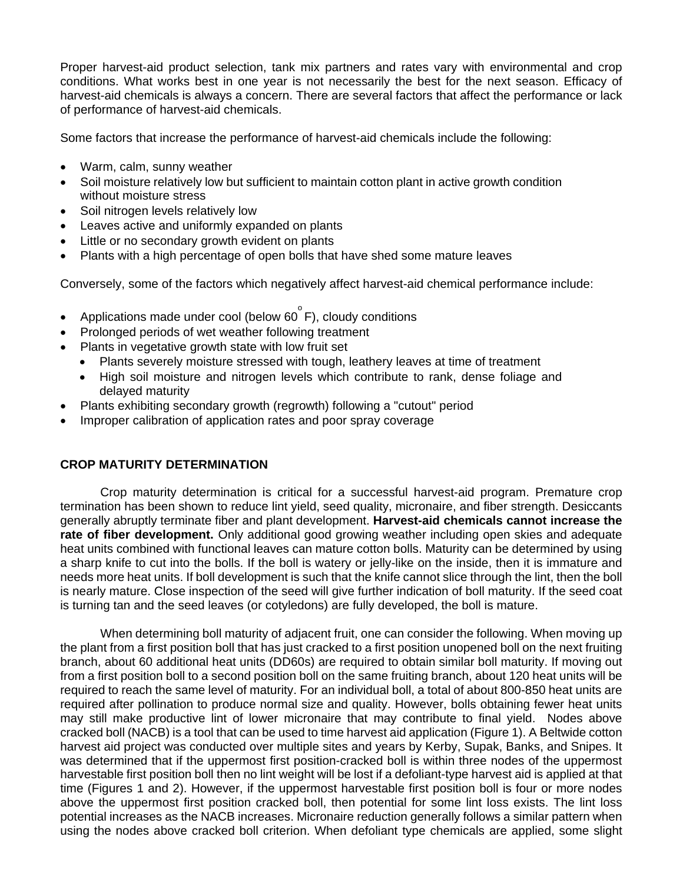Proper harvest-aid product selection, tank mix partners and rates vary with environmental and crop conditions. What works best in one year is not necessarily the best for the next season. Efficacy of harvest-aid chemicals is always a concern. There are several factors that affect the performance or lack of performance of harvest-aid chemicals.

Some factors that increase the performance of harvest-aid chemicals include the following:

- Warm, calm, sunny weather
- Soil moisture relatively low but sufficient to maintain cotton plant in active growth condition without moisture stress
- Soil nitrogen levels relatively low
- Leaves active and uniformly expanded on plants
- Little or no secondary growth evident on plants
- Plants with a high percentage of open bolls that have shed some mature leaves

Conversely, some of the factors which negatively affect harvest-aid chemical performance include:

- Applications made under cool (below 60 $\degree$ F), cloudy conditions
- Prolonged periods of wet weather following treatment
- Plants in vegetative growth state with low fruit set
	- Plants severely moisture stressed with tough, leathery leaves at time of treatment
	- High soil moisture and nitrogen levels which contribute to rank, dense foliage and delayed maturity
- Plants exhibiting secondary growth (regrowth) following a "cutout" period
- Improper calibration of application rates and poor spray coverage

# **CROP MATURITY DETERMINATION**

 Crop maturity determination is critical for a successful harvest-aid program. Premature crop termination has been shown to reduce lint yield, seed quality, micronaire, and fiber strength. Desiccants generally abruptly terminate fiber and plant development. **Harvest-aid chemicals cannot increase the rate of fiber development.** Only additional good growing weather including open skies and adequate heat units combined with functional leaves can mature cotton bolls. Maturity can be determined by using a sharp knife to cut into the bolls. If the boll is watery or jelly-like on the inside, then it is immature and needs more heat units. If boll development is such that the knife cannot slice through the lint, then the boll is nearly mature. Close inspection of the seed will give further indication of boll maturity. If the seed coat is turning tan and the seed leaves (or cotyledons) are fully developed, the boll is mature.

 When determining boll maturity of adjacent fruit, one can consider the following. When moving up the plant from a first position boll that has just cracked to a first position unopened boll on the next fruiting branch, about 60 additional heat units (DD60s) are required to obtain similar boll maturity. If moving out from a first position boll to a second position boll on the same fruiting branch, about 120 heat units will be required to reach the same level of maturity. For an individual boll, a total of about 800-850 heat units are required after pollination to produce normal size and quality. However, bolls obtaining fewer heat units may still make productive lint of lower micronaire that may contribute to final yield. Nodes above cracked boll (NACB) is a tool that can be used to time harvest aid application (Figure 1). A Beltwide cotton harvest aid project was conducted over multiple sites and years by Kerby, Supak, Banks, and Snipes. It was determined that if the uppermost first position-cracked boll is within three nodes of the uppermost harvestable first position boll then no lint weight will be lost if a defoliant-type harvest aid is applied at that time (Figures 1 and 2). However, if the uppermost harvestable first position boll is four or more nodes above the uppermost first position cracked boll, then potential for some lint loss exists. The lint loss potential increases as the NACB increases. Micronaire reduction generally follows a similar pattern when using the nodes above cracked boll criterion. When defoliant type chemicals are applied, some slight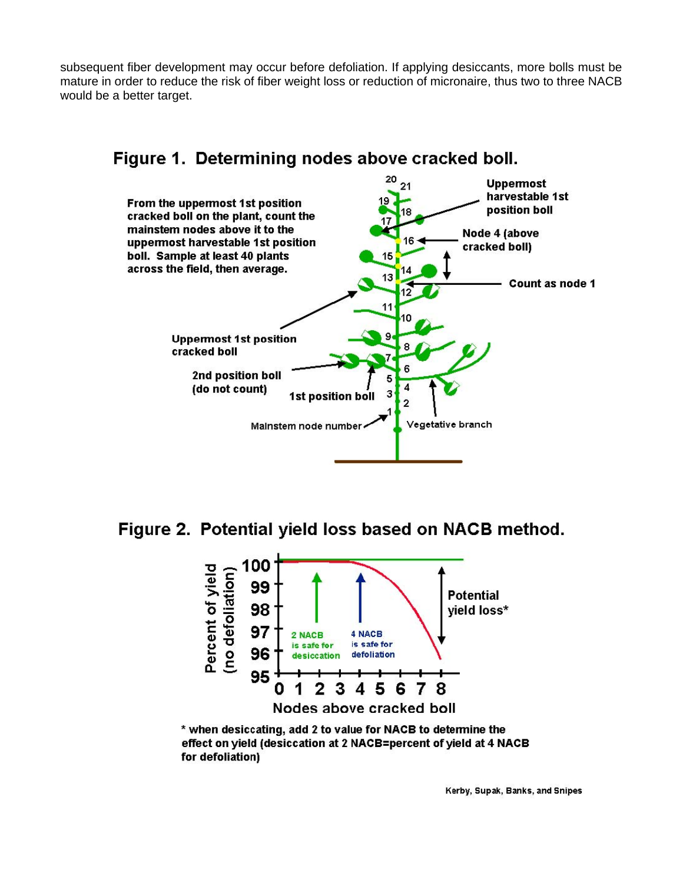subsequent fiber development may occur before defoliation. If applying desiccants, more bolls must be mature in order to reduce the risk of fiber weight loss or reduction of micronaire, thus two to three NACB would be a better target.



# Figure 1. Determining nodes above cracked boll.

Figure 2. Potential yield loss based on NACB method.



\* when desiccating, add 2 to value for NACB to determine the effect on yield (desiccation at 2 NACB=percent of yield at 4 NACB for defoliation)

Kerby, Supak, Banks, and Snipes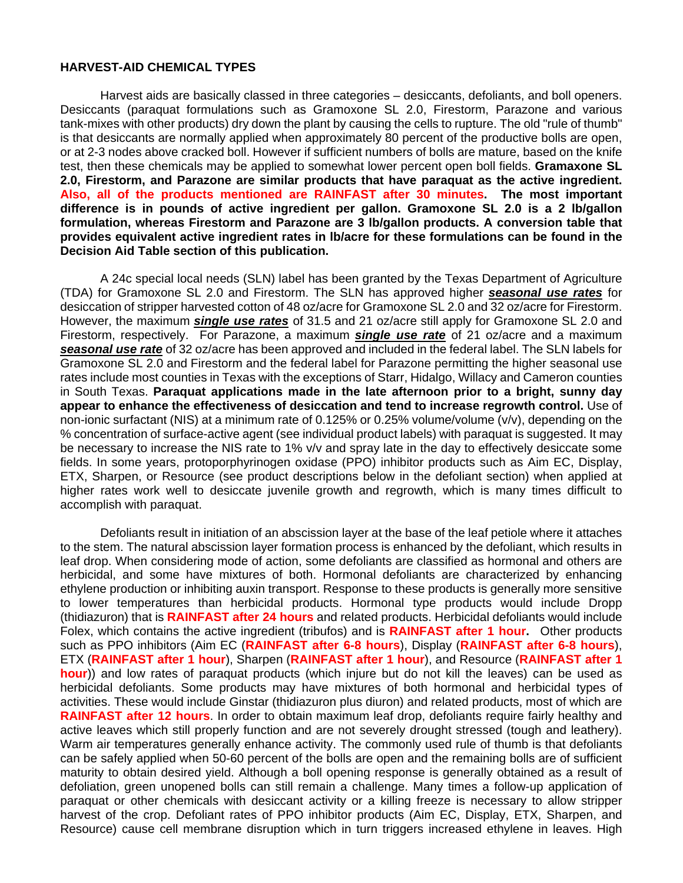#### **HARVEST-AID CHEMICAL TYPES**

Harvest aids are basically classed in three categories – desiccants, defoliants, and boll openers. Desiccants (paraquat formulations such as Gramoxone SL 2.0, Firestorm, Parazone and various tank-mixes with other products) dry down the plant by causing the cells to rupture. The old "rule of thumb" is that desiccants are normally applied when approximately 80 percent of the productive bolls are open, or at 2-3 nodes above cracked boll. However if sufficient numbers of bolls are mature, based on the knife test, then these chemicals may be applied to somewhat lower percent open boll fields. **Gramaxone SL 2.0, Firestorm, and Parazone are similar products that have paraquat as the active ingredient. Also, all of the products mentioned are RAINFAST after 30 minutes. The most important difference is in pounds of active ingredient per gallon. Gramoxone SL 2.0 is a 2 lb/gallon formulation, whereas Firestorm and Parazone are 3 lb/gallon products. A conversion table that provides equivalent active ingredient rates in lb/acre for these formulations can be found in the Decision Aid Table section of this publication.** 

A 24c special local needs (SLN) label has been granted by the Texas Department of Agriculture (TDA) for Gramoxone SL 2.0 and Firestorm. The SLN has approved higher *seasonal use rates* for desiccation of stripper harvested cotton of 48 oz/acre for Gramoxone SL 2.0 and 32 oz/acre for Firestorm. However, the maximum *single use rates* of 31.5 and 21 oz/acre still apply for Gramoxone SL 2.0 and Firestorm, respectively. For Parazone, a maximum *single use rate* of 21 oz/acre and a maximum *seasonal use rate* of 32 oz/acre has been approved and included in the federal label. The SLN labels for Gramoxone SL 2.0 and Firestorm and the federal label for Parazone permitting the higher seasonal use rates include most counties in Texas with the exceptions of Starr, Hidalgo, Willacy and Cameron counties in South Texas. **Paraquat applications made in the late afternoon prior to a bright, sunny day appear to enhance the effectiveness of desiccation and tend to increase regrowth control.** Use of non-ionic surfactant (NIS) at a minimum rate of 0.125% or 0.25% volume/volume (v/v), depending on the % concentration of surface-active agent (see individual product labels) with paraquat is suggested. It may be necessary to increase the NIS rate to 1% v/v and spray late in the day to effectively desiccate some fields. In some years, protoporphyrinogen oxidase (PPO) inhibitor products such as Aim EC, Display, ETX, Sharpen, or Resource (see product descriptions below in the defoliant section) when applied at higher rates work well to desiccate juvenile growth and regrowth, which is many times difficult to accomplish with paraquat.

Defoliants result in initiation of an abscission layer at the base of the leaf petiole where it attaches to the stem. The natural abscission layer formation process is enhanced by the defoliant, which results in leaf drop. When considering mode of action, some defoliants are classified as hormonal and others are herbicidal, and some have mixtures of both. Hormonal defoliants are characterized by enhancing ethylene production or inhibiting auxin transport. Response to these products is generally more sensitive to lower temperatures than herbicidal products. Hormonal type products would include Dropp (thidiazuron) that is **RAINFAST after 24 hours** and related products. Herbicidal defoliants would include Folex, which contains the active ingredient (tribufos) and is **RAINFAST after 1 hour.** Other products such as PPO inhibitors (Aim EC (**RAINFAST after 6-8 hours**), Display (**RAINFAST after 6-8 hours**), ETX (**RAINFAST after 1 hour**), Sharpen (**RAINFAST after 1 hour**), and Resource (**RAINFAST after 1 hour**)) and low rates of paraquat products (which injure but do not kill the leaves) can be used as herbicidal defoliants. Some products may have mixtures of both hormonal and herbicidal types of activities. These would include Ginstar (thidiazuron plus diuron) and related products, most of which are **RAINFAST after 12 hours**. In order to obtain maximum leaf drop, defoliants require fairly healthy and active leaves which still properly function and are not severely drought stressed (tough and leathery). Warm air temperatures generally enhance activity. The commonly used rule of thumb is that defoliants can be safely applied when 50-60 percent of the bolls are open and the remaining bolls are of sufficient maturity to obtain desired yield. Although a boll opening response is generally obtained as a result of defoliation, green unopened bolls can still remain a challenge. Many times a follow-up application of paraquat or other chemicals with desiccant activity or a killing freeze is necessary to allow stripper harvest of the crop. Defoliant rates of PPO inhibitor products (Aim EC, Display, ETX, Sharpen, and Resource) cause cell membrane disruption which in turn triggers increased ethylene in leaves. High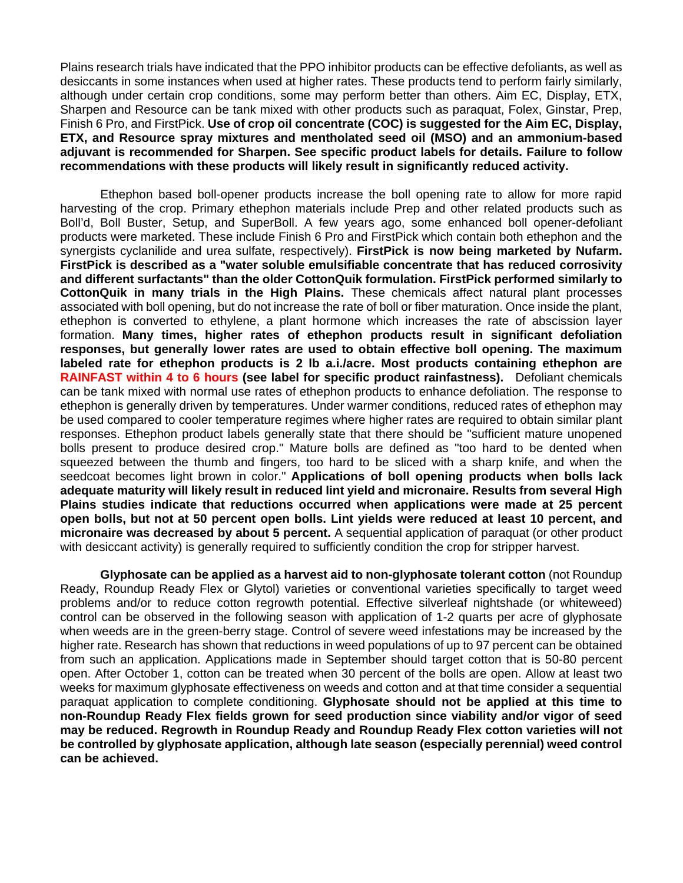Plains research trials have indicated that the PPO inhibitor products can be effective defoliants, as well as desiccants in some instances when used at higher rates. These products tend to perform fairly similarly, although under certain crop conditions, some may perform better than others. Aim EC, Display, ETX, Sharpen and Resource can be tank mixed with other products such as paraquat, Folex, Ginstar, Prep, Finish 6 Pro, and FirstPick. **Use of crop oil concentrate (COC) is suggested for the Aim EC, Display, ETX, and Resource spray mixtures and mentholated seed oil (MSO) and an ammonium-based adjuvant is recommended for Sharpen. See specific product labels for details. Failure to follow recommendations with these products will likely result in significantly reduced activity.** 

Ethephon based boll-opener products increase the boll opening rate to allow for more rapid harvesting of the crop. Primary ethephon materials include Prep and other related products such as Boll'd, Boll Buster, Setup, and SuperBoll. A few years ago, some enhanced boll opener-defoliant products were marketed. These include Finish 6 Pro and FirstPick which contain both ethephon and the synergists cyclanilide and urea sulfate, respectively). **FirstPick is now being marketed by Nufarm. FirstPick is described as a "water soluble emulsifiable concentrate that has reduced corrosivity and different surfactants" than the older CottonQuik formulation. FirstPick performed similarly to CottonQuik in many trials in the High Plains.** These chemicals affect natural plant processes associated with boll opening, but do not increase the rate of boll or fiber maturation. Once inside the plant, ethephon is converted to ethylene, a plant hormone which increases the rate of abscission layer formation. **Many times, higher rates of ethephon products result in significant defoliation responses, but generally lower rates are used to obtain effective boll opening. The maximum labeled rate for ethephon products is 2 lb a.i./acre. Most products containing ethephon are RAINFAST within 4 to 6 hours (see label for specific product rainfastness).** Defoliant chemicals can be tank mixed with normal use rates of ethephon products to enhance defoliation. The response to ethephon is generally driven by temperatures. Under warmer conditions, reduced rates of ethephon may be used compared to cooler temperature regimes where higher rates are required to obtain similar plant responses. Ethephon product labels generally state that there should be "sufficient mature unopened bolls present to produce desired crop." Mature bolls are defined as "too hard to be dented when squeezed between the thumb and fingers, too hard to be sliced with a sharp knife, and when the seedcoat becomes light brown in color." **Applications of boll opening products when bolls lack adequate maturity will likely result in reduced lint yield and micronaire. Results from several High Plains studies indicate that reductions occurred when applications were made at 25 percent open bolls, but not at 50 percent open bolls. Lint yields were reduced at least 10 percent, and micronaire was decreased by about 5 percent.** A sequential application of paraquat (or other product with desiccant activity) is generally required to sufficiently condition the crop for stripper harvest.

**Glyphosate can be applied as a harvest aid to non-glyphosate tolerant cotton** (not Roundup Ready, Roundup Ready Flex or Glytol) varieties or conventional varieties specifically to target weed problems and/or to reduce cotton regrowth potential. Effective silverleaf nightshade (or whiteweed) control can be observed in the following season with application of 1-2 quarts per acre of glyphosate when weeds are in the green-berry stage. Control of severe weed infestations may be increased by the higher rate. Research has shown that reductions in weed populations of up to 97 percent can be obtained from such an application. Applications made in September should target cotton that is 50-80 percent open. After October 1, cotton can be treated when 30 percent of the bolls are open. Allow at least two weeks for maximum glyphosate effectiveness on weeds and cotton and at that time consider a sequential paraquat application to complete conditioning. **Glyphosate should not be applied at this time to non-Roundup Ready Flex fields grown for seed production since viability and/or vigor of seed may be reduced. Regrowth in Roundup Ready and Roundup Ready Flex cotton varieties will not be controlled by glyphosate application, although late season (especially perennial) weed control can be achieved.**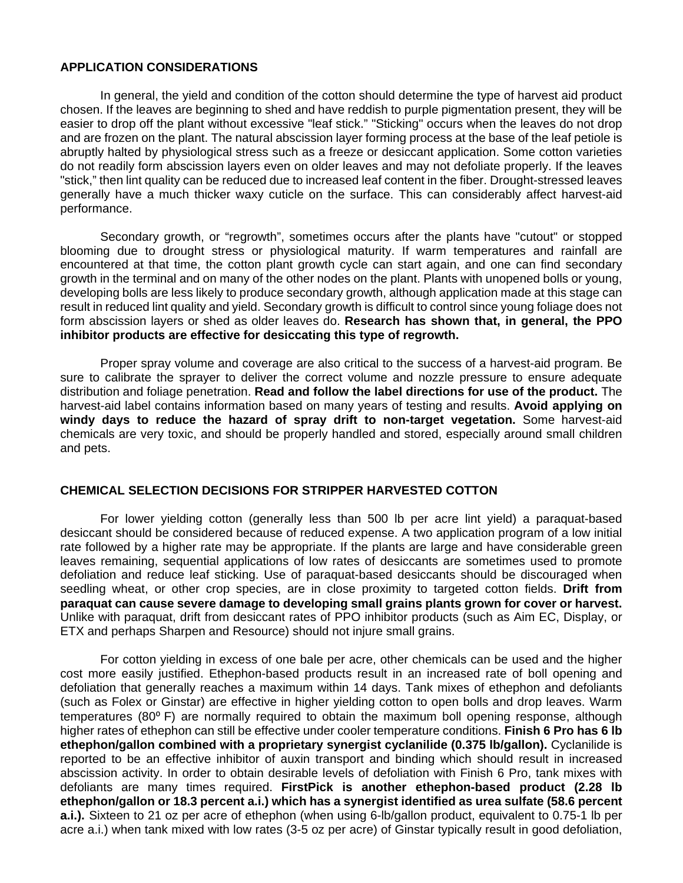#### **APPLICATION CONSIDERATIONS**

In general, the yield and condition of the cotton should determine the type of harvest aid product chosen. If the leaves are beginning to shed and have reddish to purple pigmentation present, they will be easier to drop off the plant without excessive "leaf stick." "Sticking" occurs when the leaves do not drop and are frozen on the plant. The natural abscission layer forming process at the base of the leaf petiole is abruptly halted by physiological stress such as a freeze or desiccant application. Some cotton varieties do not readily form abscission layers even on older leaves and may not defoliate properly. If the leaves "stick," then lint quality can be reduced due to increased leaf content in the fiber. Drought-stressed leaves generally have a much thicker waxy cuticle on the surface. This can considerably affect harvest-aid performance.

Secondary growth, or "regrowth", sometimes occurs after the plants have "cutout" or stopped blooming due to drought stress or physiological maturity. If warm temperatures and rainfall are encountered at that time, the cotton plant growth cycle can start again, and one can find secondary growth in the terminal and on many of the other nodes on the plant. Plants with unopened bolls or young, developing bolls are less likely to produce secondary growth, although application made at this stage can result in reduced lint quality and yield. Secondary growth is difficult to control since young foliage does not form abscission layers or shed as older leaves do. **Research has shown that, in general, the PPO inhibitor products are effective for desiccating this type of regrowth.** 

Proper spray volume and coverage are also critical to the success of a harvest-aid program. Be sure to calibrate the sprayer to deliver the correct volume and nozzle pressure to ensure adequate distribution and foliage penetration. **Read and follow the label directions for use of the product.** The harvest-aid label contains information based on many years of testing and results. **Avoid applying on windy days to reduce the hazard of spray drift to non-target vegetation.** Some harvest-aid chemicals are very toxic, and should be properly handled and stored, especially around small children and pets.

#### **CHEMICAL SELECTION DECISIONS FOR STRIPPER HARVESTED COTTON**

For lower yielding cotton (generally less than 500 lb per acre lint yield) a paraquat-based desiccant should be considered because of reduced expense. A two application program of a low initial rate followed by a higher rate may be appropriate. If the plants are large and have considerable green leaves remaining, sequential applications of low rates of desiccants are sometimes used to promote defoliation and reduce leaf sticking. Use of paraquat-based desiccants should be discouraged when seedling wheat, or other crop species, are in close proximity to targeted cotton fields. **Drift from paraquat can cause severe damage to developing small grains plants grown for cover or harvest.**  Unlike with paraquat, drift from desiccant rates of PPO inhibitor products (such as Aim EC, Display, or ETX and perhaps Sharpen and Resource) should not injure small grains.

For cotton yielding in excess of one bale per acre, other chemicals can be used and the higher cost more easily justified. Ethephon-based products result in an increased rate of boll opening and defoliation that generally reaches a maximum within 14 days. Tank mixes of ethephon and defoliants (such as Folex or Ginstar) are effective in higher yielding cotton to open bolls and drop leaves. Warm temperatures (80° F) are normally required to obtain the maximum boll opening response, although higher rates of ethephon can still be effective under cooler temperature conditions. **Finish 6 Pro has 6 lb ethephon/gallon combined with a proprietary synergist cyclanilide (0.375 lb/gallon).** Cyclanilide is reported to be an effective inhibitor of auxin transport and binding which should result in increased abscission activity. In order to obtain desirable levels of defoliation with Finish 6 Pro, tank mixes with defoliants are many times required. **FirstPick is another ethephon-based product (2.28 lb ethephon/gallon or 18.3 percent a.i.) which has a synergist identified as urea sulfate (58.6 percent a.i.).** Sixteen to 21 oz per acre of ethephon (when using 6-lb/gallon product, equivalent to 0.75-1 lb per acre a.i.) when tank mixed with low rates (3-5 oz per acre) of Ginstar typically result in good defoliation,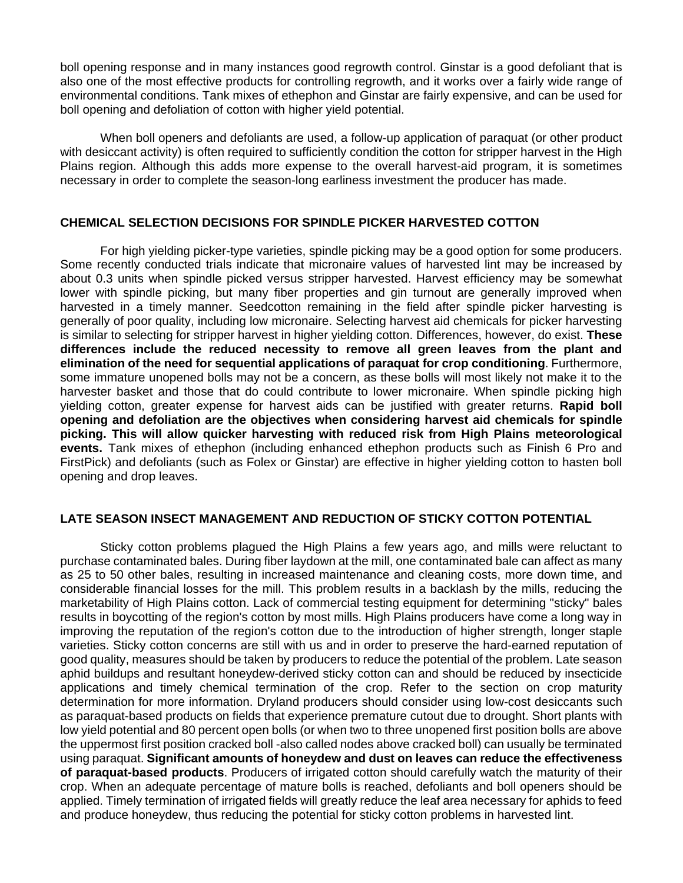boll opening response and in many instances good regrowth control. Ginstar is a good defoliant that is also one of the most effective products for controlling regrowth, and it works over a fairly wide range of environmental conditions. Tank mixes of ethephon and Ginstar are fairly expensive, and can be used for boll opening and defoliation of cotton with higher yield potential.

When boll openers and defoliants are used, a follow-up application of paraquat (or other product with desiccant activity) is often required to sufficiently condition the cotton for stripper harvest in the High Plains region. Although this adds more expense to the overall harvest-aid program, it is sometimes necessary in order to complete the season-long earliness investment the producer has made.

#### **CHEMICAL SELECTION DECISIONS FOR SPINDLE PICKER HARVESTED COTTON**

For high yielding picker-type varieties, spindle picking may be a good option for some producers. Some recently conducted trials indicate that micronaire values of harvested lint may be increased by about 0.3 units when spindle picked versus stripper harvested. Harvest efficiency may be somewhat lower with spindle picking, but many fiber properties and gin turnout are generally improved when harvested in a timely manner. Seedcotton remaining in the field after spindle picker harvesting is generally of poor quality, including low micronaire. Selecting harvest aid chemicals for picker harvesting is similar to selecting for stripper harvest in higher yielding cotton. Differences, however, do exist. **These differences include the reduced necessity to remove all green leaves from the plant and elimination of the need for sequential applications of paraquat for crop conditioning**. Furthermore, some immature unopened bolls may not be a concern, as these bolls will most likely not make it to the harvester basket and those that do could contribute to lower micronaire. When spindle picking high yielding cotton, greater expense for harvest aids can be justified with greater returns. **Rapid boll opening and defoliation are the objectives when considering harvest aid chemicals for spindle picking. This will allow quicker harvesting with reduced risk from High Plains meteorological events.** Tank mixes of ethephon (including enhanced ethephon products such as Finish 6 Pro and FirstPick) and defoliants (such as Folex or Ginstar) are effective in higher yielding cotton to hasten boll opening and drop leaves.

# **LATE SEASON INSECT MANAGEMENT AND REDUCTION OF STICKY COTTON POTENTIAL**

Sticky cotton problems plagued the High Plains a few years ago, and mills were reluctant to purchase contaminated bales. During fiber laydown at the mill, one contaminated bale can affect as many as 25 to 50 other bales, resulting in increased maintenance and cleaning costs, more down time, and considerable financial losses for the mill. This problem results in a backlash by the mills, reducing the marketability of High Plains cotton. Lack of commercial testing equipment for determining "sticky" bales results in boycotting of the region's cotton by most mills. High Plains producers have come a long way in improving the reputation of the region's cotton due to the introduction of higher strength, longer staple varieties. Sticky cotton concerns are still with us and in order to preserve the hard-earned reputation of good quality, measures should be taken by producers to reduce the potential of the problem. Late season aphid buildups and resultant honeydew-derived sticky cotton can and should be reduced by insecticide applications and timely chemical termination of the crop. Refer to the section on crop maturity determination for more information. Dryland producers should consider using low-cost desiccants such as paraquat-based products on fields that experience premature cutout due to drought. Short plants with low yield potential and 80 percent open bolls (or when two to three unopened first position bolls are above the uppermost first position cracked boll -also called nodes above cracked boll) can usually be terminated using paraquat. **Significant amounts of honeydew and dust on leaves can reduce the effectiveness of paraquat-based products**. Producers of irrigated cotton should carefully watch the maturity of their crop. When an adequate percentage of mature bolls is reached, defoliants and boll openers should be applied. Timely termination of irrigated fields will greatly reduce the leaf area necessary for aphids to feed and produce honeydew, thus reducing the potential for sticky cotton problems in harvested lint.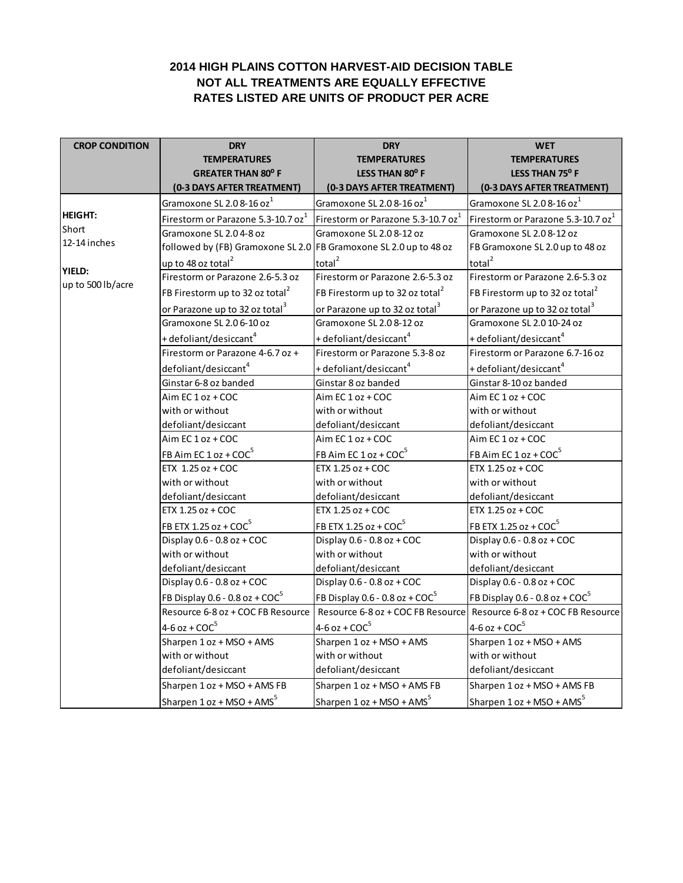# **2014 HIGH PLAINS COTTON HARVEST-AID DECISION TABLE NOT ALL TREATMENTS ARE EQUALLY EFFECTIVE RATES LISTED ARE UNITS OF PRODUCT PER ACRE**

| <b>CROP CONDITION</b>              | <b>DRY</b>                                                        | <b>DRY</b>                                     | <b>WET</b>                                     |
|------------------------------------|-------------------------------------------------------------------|------------------------------------------------|------------------------------------------------|
|                                    | <b>TEMPERATURES</b>                                               | <b>TEMPERATURES</b>                            | <b>TEMPERATURES</b>                            |
|                                    | <b>GREATER THAN 80° F</b>                                         | <b>LESS THAN 80° F</b>                         | LESS THAN 75° F                                |
|                                    | (0-3 DAYS AFTER TREATMENT)                                        | (0-3 DAYS AFTER TREATMENT)                     | (0-3 DAYS AFTER TREATMENT)                     |
|                                    | Gramoxone SL 2.0 8-16 oz <sup>1</sup>                             | Gramoxone SL 2.0 8-16 oz <sup>1</sup>          | Gramoxone SL 2.0 8-16 oz <sup>1</sup>          |
| <b>HEIGHT:</b>                     | Firestorm or Parazone 5.3-10.7 oz <sup>1</sup>                    | Firestorm or Parazone 5.3-10.7 oz <sup>1</sup> | Firestorm or Parazone 5.3-10.7 oz <sup>1</sup> |
| Short                              | Gramoxone SL 2.04-8 oz                                            | Gramoxone SL 2.0 8-12 oz                       | Gramoxone SL 2.0 8-12 oz                       |
| 12-14 inches                       | followed by (FB) Gramoxone SL 2.0 FB Gramoxone SL 2.0 up to 48 oz |                                                | FB Gramoxone SL 2.0 up to 48 oz                |
|                                    | up to 48 oz total $^2$                                            | total <sup>2</sup>                             | total <sup>2</sup>                             |
| <b>YIELD:</b><br>up to 500 lb/acre | Firestorm or Parazone 2.6-5.3 oz                                  | Firestorm or Parazone 2.6-5.3 oz               | Firestorm or Parazone 2.6-5.3 oz               |
|                                    | FB Firestorm up to 32 oz total <sup>2</sup>                       | FB Firestorm up to 32 oz total <sup>2</sup>    | FB Firestorm up to 32 oz total <sup>2</sup>    |
|                                    | or Parazone up to 32 oz total <sup>3</sup>                        | or Parazone up to 32 oz total <sup>3</sup>     | or Parazone up to 32 oz total <sup>3</sup>     |
|                                    | Gramoxone SL 2.0 6-10 oz                                          | Gramoxone SL 2.0 8-12 oz                       | Gramoxone SL 2.0 10-24 oz                      |
|                                    | + defoliant/desiccant <sup>4</sup>                                | + defoliant/desiccant <sup>4</sup>             | + defoliant/desiccant <sup>4</sup>             |
|                                    | Firestorm or Parazone 4-6.7 oz +                                  | Firestorm or Parazone 5.3-8 oz                 | Firestorm or Parazone 6.7-16 oz                |
|                                    | defoliant/desiccant <sup>4</sup>                                  | + defoliant/desiccant <sup>4</sup>             | + defoliant/desiccant <sup>4</sup>             |
|                                    | Ginstar 6-8 oz banded                                             | Ginstar 8 oz banded                            | Ginstar 8-10 oz banded                         |
|                                    | Aim EC 1 oz + COC                                                 | Aim EC 1 oz + COC                              | Aim EC 1 oz + COC                              |
|                                    | with or without                                                   | with or without                                | with or without                                |
|                                    | defoliant/desiccant                                               | defoliant/desiccant                            | defoliant/desiccant                            |
|                                    | Aim EC 1 oz + COC                                                 | Aim EC 1 oz + COC                              | Aim EC 1 oz + COC                              |
|                                    | FB Aim EC $1$ oz + COC <sup>5</sup>                               | FB Aim EC 1 oz + COC <sup>5</sup>              | FB Aim EC 1 oz + COC <sup>5</sup>              |
|                                    | ETX 1.25 oz + COC                                                 | ETX 1.25 oz + COC                              | ETX 1.25 oz + COC                              |
|                                    | with or without                                                   | with or without                                | with or without                                |
|                                    | defoliant/desiccant                                               | defoliant/desiccant                            | defoliant/desiccant                            |
|                                    | ETX 1.25 oz + COC                                                 | ETX 1.25 oz + COC                              | ETX 1.25 oz + COC                              |
|                                    | FB ETX 1.25 oz + $COC5$                                           | FB ETX 1.25 oz + COC <sup>5</sup>              | FB ETX 1.25 oz + $COC5$                        |
|                                    | Display $0.6 - 0.8$ oz + COC                                      | Display $0.6 - 0.8$ oz + COC                   | Display $0.6 - 0.8$ oz + COC                   |
|                                    | with or without                                                   | with or without                                | with or without                                |
|                                    | defoliant/desiccant                                               | defoliant/desiccant                            | defoliant/desiccant                            |
|                                    | Display 0.6 - 0.8 oz + COC                                        | Display 0.6 - 0.8 oz + COC                     | Display 0.6 - 0.8 oz + COC                     |
|                                    | FB Display 0.6 - 0.8 oz + $COC5$                                  | FB Display 0.6 - 0.8 oz + $COC5$               | FB Display 0.6 - 0.8 oz + $COC5$               |
|                                    | Resource 6-8 oz + COC FB Resource                                 | Resource 6-8 oz + COC FB Resource              | Resource 6-8 oz + COC FB Resource              |
|                                    | $4-6$ oz + COC <sup>5</sup>                                       | $4-6$ oz + $COC5$                              | $4-6$ oz + $COC5$                              |
|                                    | Sharpen 1 oz + MSO + AMS                                          | Sharpen 1 oz + MSO + AMS                       | Sharpen 1 oz + MSO + AMS                       |
|                                    | with or without                                                   | with or without                                | with or without                                |
|                                    | defoliant/desiccant                                               | defoliant/desiccant                            | defoliant/desiccant                            |
|                                    | Sharpen 1 oz + MSO + AMS FB                                       | Sharpen 1 oz + MSO + AMS FB                    | Sharpen 1 oz + MSO + AMS FB                    |
|                                    | Sharpen 1 oz + MSO + AMS <sup>5</sup>                             | Sharpen $1 oz + MSO + AMS5$                    | Sharpen 1 oz + MSO + AMS <sup>5</sup>          |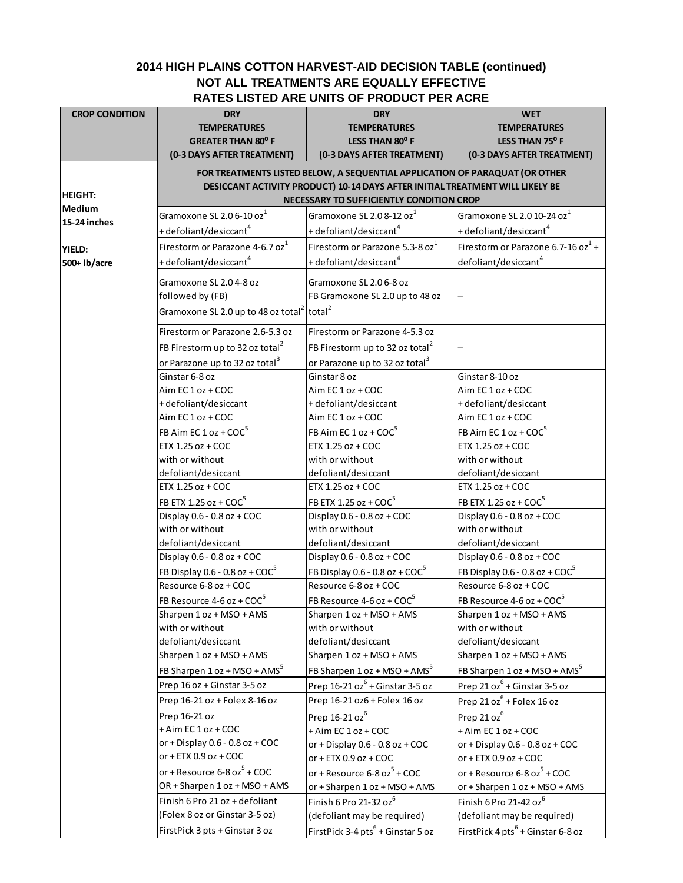# **2014 HIGH PLAINS COTTON HARVEST-AID DECISION TABLE (continued) NOT ALL TREATMENTS ARE EQUALLY EFFECTIVE RATES LISTED ARE UNITS OF PRODUCT PER ACRE**

| <b>CROP CONDITION</b> | <b>DRY</b><br><b>TEMPERATURES</b><br><b>GREATER THAN 80° F</b>                | <b>DRY</b><br><b>TEMPERATURES</b><br>LESS THAN 80° F      | <b>WET</b><br><b>TEMPERATURES</b><br>LESS THAN 75° F |
|-----------------------|-------------------------------------------------------------------------------|-----------------------------------------------------------|------------------------------------------------------|
|                       | (0-3 DAYS AFTER TREATMENT)                                                    | (0-3 DAYS AFTER TREATMENT)                                | (0-3 DAYS AFTER TREATMENT)                           |
|                       | FOR TREATMENTS LISTED BELOW, A SEQUENTIAL APPLICATION OF PARAQUAT (OR OTHER   |                                                           |                                                      |
|                       | DESICCANT ACTIVITY PRODUCT) 10-14 DAYS AFTER INITIAL TREATMENT WILL LIKELY BE |                                                           |                                                      |
| <b>HEIGHT:</b>        |                                                                               | NECESSARY TO SUFFICIENTLY CONDITION CROP                  |                                                      |
| <b>Medium</b>         | Gramoxone SL 2.0 6-10 oz $^1$                                                 | Gramoxone SL 2.0 8-12 oz <sup>1</sup>                     | Gramoxone SL 2.0 10-24 oz <sup>1</sup>               |
| 15-24 inches          | + defoliant/desiccant <sup>4</sup>                                            | + defoliant/desiccant <sup>4</sup>                        | + defoliant/desiccant <sup>4</sup>                   |
|                       | Firestorm or Parazone 4-6.7 oz <sup>1</sup>                                   | Firestorm or Parazone 5.3-8 oz <sup>1</sup>               | Firestorm or Parazone 6.7-16 oz $1+$                 |
| YIELD:                | + defoliant/desiccant <sup>4</sup>                                            | + defoliant/desiccant <sup>4</sup>                        | defoliant/desiccant <sup>4</sup>                     |
| 500+ lb/acre          |                                                                               |                                                           |                                                      |
|                       | Gramoxone SL 2.04-8 oz                                                        | Gramoxone SL 2.06-8 oz                                    |                                                      |
|                       | followed by (FB)                                                              | FB Gramoxone SL 2.0 up to 48 oz                           |                                                      |
|                       | Gramoxone SL 2.0 up to 48 oz total <sup>2</sup> total <sup>2</sup>            |                                                           |                                                      |
|                       | Firestorm or Parazone 2.6-5.3 oz                                              | Firestorm or Parazone 4-5.3 oz                            |                                                      |
|                       |                                                                               |                                                           |                                                      |
|                       | FB Firestorm up to 32 oz total <sup>2</sup>                                   | FB Firestorm up to 32 oz total <sup>2</sup>               |                                                      |
|                       | or Parazone up to 32 oz total <sup>3</sup>                                    | or Parazone up to 32 oz total <sup>3</sup>                |                                                      |
|                       | Ginstar 6-8 oz                                                                | Ginstar 8 oz                                              | Ginstar 8-10 oz                                      |
|                       | Aim EC 1 oz + COC                                                             | Aim EC 1 oz + COC                                         | Aim EC 1 oz + COC                                    |
|                       | + defoliant/desiccant                                                         | + defoliant/desiccant                                     | + defoliant/desiccant                                |
|                       | Aim EC 1 oz + COC                                                             | Aim EC 1 oz + COC                                         | Aim EC 1 oz + COC                                    |
|                       | FB Aim EC $1$ oz + COC <sup>5</sup>                                           | FB Aim EC $1$ oz + COC <sup>5</sup>                       | FB Aim EC $1$ oz + COC <sup>5</sup>                  |
|                       | ETX 1.25 oz + COC                                                             | ETX 1.25 oz + COC                                         | ETX 1.25 oz + COC                                    |
|                       | with or without                                                               | with or without                                           | with or without                                      |
|                       | defoliant/desiccant<br>ETX 1.25 oz + COC                                      | defoliant/desiccant<br>ETX 1.25 oz + COC                  | defoliant/desiccant<br>ETX 1.25 oz + COC             |
|                       |                                                                               |                                                           |                                                      |
|                       | FB ETX 1.25 oz + $COC5$                                                       | FB ETX 1.25 oz + $COC5$                                   | FB ETX 1.25 oz + $COC5$                              |
|                       | Display $0.6 - 0.8$ oz + COC<br>with or without                               | Display $0.6 - 0.8$ oz + COC<br>with or without           | Display $0.6 - 0.8$ oz + COC<br>with or without      |
|                       | defoliant/desiccant                                                           | defoliant/desiccant                                       | defoliant/desiccant                                  |
|                       | Display $0.6 - 0.8$ oz + COC                                                  | Display $0.6 - 0.8$ oz + COC                              | Display 0.6 - 0.8 oz + COC                           |
|                       | FB Display $0.6 - 0.8$ oz + $COC5$                                            |                                                           | FB Display 0.6 - 0.8 oz + $COC5$                     |
|                       | Resource 6-8 oz + COC                                                         | FB Display 0.6 - 0.8 oz + $COC5$<br>Resource 6-8 oz + COC | Resource 6-8 oz + COC                                |
|                       |                                                                               |                                                           |                                                      |
|                       | FB Resource 4-6 oz + $COC5$                                                   | FB Resource $4-6$ oz + COC <sup>5</sup>                   | FB Resource 4-6 oz + $COC5$                          |
|                       | Sharpen 1 oz + MSO + AMS<br>with or without                                   | Sharpen 1 oz + MSO + AMS<br>with or without               | Sharpen 1 oz + MSO + AMS<br>with or without          |
|                       | defoliant/desiccant                                                           | defoliant/desiccant                                       | defoliant/desiccant                                  |
|                       | Sharpen 1 oz + MSO + AMS                                                      | Sharpen 1 oz + MSO + AMS                                  | Sharpen 1 oz + MSO + AMS                             |
|                       | FB Sharpen $1$ oz + MSO + AMS <sup>5</sup>                                    | FB Sharpen $1 oz + MSO + AMS5$                            | FB Sharpen 1 oz + MSO + AMS <sup>5</sup>             |
|                       | Prep 16 oz + Ginstar 3-5 oz                                                   | Prep $16-21$ $oz^6$ + Ginstar 3-5 oz                      |                                                      |
|                       |                                                                               |                                                           | Prep 21 $oz^6$ + Ginstar 3-5 oz                      |
|                       | Prep 16-21 oz + Folex 8-16 oz                                                 | Prep 16-21 oz6 + Folex 16 oz                              | Prep $21 oz6 + Folex 16 oz$                          |
|                       | Prep 16-21 oz                                                                 | Prep 16-21 oz <sup>6</sup>                                | Prep 21 oz <sup>6</sup>                              |
|                       | + Aim EC 1 oz + COC                                                           | + Aim EC 1 oz + COC                                       | + Aim EC 1 oz + COC                                  |
|                       | or + Display $0.6 - 0.8$ oz + COC                                             | or + Display $0.6 - 0.8$ oz + COC                         | or + Display $0.6 - 0.8$ oz + COC                    |
|                       | or + ETX $0.9$ oz + COC                                                       | or + ETX $0.9$ oz + COC                                   | or + ETX $0.9$ oz + COC                              |
|                       | or + Resource $6-8$ oz $^5$ + COC                                             | or + Resource $6-8$ oz $^5$ + COC                         | or + Resource $6-8$ oz $^5$ + COC                    |
|                       | OR + Sharpen 1 oz + MSO + AMS                                                 | or + Sharpen 1 oz + MSO + AMS                             | or + Sharpen 1 oz + MSO + AMS                        |
|                       | Finish 6 Pro 21 oz + defoliant                                                | Finish 6 Pro 21-32 oz <sup>6</sup>                        | Finish 6 Pro 21-42 oz <sup>6</sup>                   |
|                       | (Folex 8 oz or Ginstar 3-5 oz)                                                | (defoliant may be required)                               | (defoliant may be required)                          |
|                       | FirstPick 3 pts + Ginstar 3 oz                                                | FirstPick 3-4 pts <sup>6</sup> + Ginstar 5 oz             | FirstPick 4 pts <sup>6</sup> + Ginstar 6-8 oz        |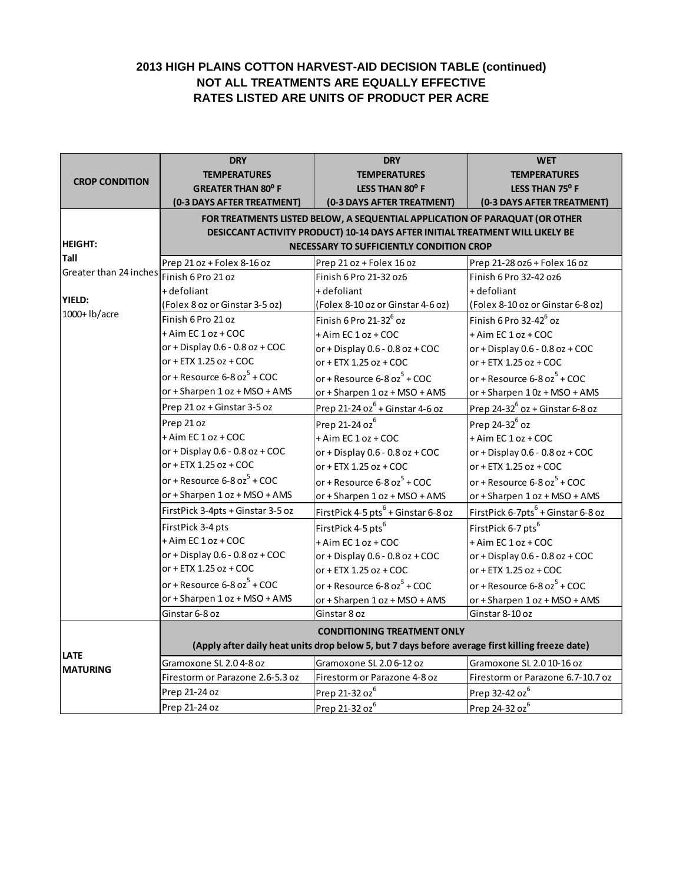# **2013 HIGH PLAINS COTTON HARVEST-AID DECISION TABLE (continued) NOT ALL TREATMENTS ARE EQUALLY EFFECTIVE RATES LISTED ARE UNITS OF PRODUCT PER ACRE**

|                        | <b>DRY</b>                                                                                                                                                   | <b>DRY</b>                                      | <b>WET</b>                                     |
|------------------------|--------------------------------------------------------------------------------------------------------------------------------------------------------------|-------------------------------------------------|------------------------------------------------|
|                        | <b>TEMPERATURES</b>                                                                                                                                          | <b>TEMPERATURES</b>                             | <b>TEMPERATURES</b>                            |
| <b>CROP CONDITION</b>  | <b>GREATER THAN 80° F</b>                                                                                                                                    | LESS THAN 80° F                                 | LESS THAN 75° F                                |
|                        | (0-3 DAYS AFTER TREATMENT)                                                                                                                                   | (0-3 DAYS AFTER TREATMENT)                      | (0-3 DAYS AFTER TREATMENT)                     |
|                        | FOR TREATMENTS LISTED BELOW, A SEQUENTIAL APPLICATION OF PARAQUAT (OR OTHER<br>DESICCANT ACTIVITY PRODUCT) 10-14 DAYS AFTER INITIAL TREATMENT WILL LIKELY BE |                                                 |                                                |
|                        |                                                                                                                                                              |                                                 |                                                |
| <b>HEIGHT:</b>         |                                                                                                                                                              | NECESSARY TO SUFFICIENTLY CONDITION CROP        |                                                |
| Tall                   | Prep 21 oz + Folex 8-16 oz                                                                                                                                   | Prep 21 oz + Folex 16 oz                        | Prep 21-28 oz6 + Folex 16 oz                   |
| Greater than 24 inches | Finish 6 Pro 21 oz                                                                                                                                           | Finish 6 Pro 21-32 oz6                          | Finish 6 Pro 32-42 oz6                         |
|                        | + defoliant                                                                                                                                                  | + defoliant                                     | + defoliant                                    |
| <b>YIELD:</b>          | (Folex 8 oz or Ginstar 3-5 oz)                                                                                                                               | (Folex 8-10 oz or Ginstar 4-6 oz)               | (Folex 8-10 oz or Ginstar 6-8 oz)              |
| 1000+ lb/acre          | Finish 6 Pro 21 oz                                                                                                                                           | Finish 6 Pro 21-32 <sup>6</sup> oz              | Finish 6 Pro 32-42 <sup>6</sup> oz             |
|                        | + Aim EC 1 oz + COC                                                                                                                                          | + Aim EC 1 oz + COC                             | + Aim EC 1 oz + COC                            |
|                        | or + Display $0.6 - 0.8$ oz + COC                                                                                                                            | or + Display $0.6 - 0.8$ oz + COC               | or + Display $0.6 - 0.8$ oz + COC              |
|                        | or + ETX 1.25 oz + COC                                                                                                                                       | or + ETX 1.25 oz + COC                          | or + ETX 1.25 oz + COC                         |
|                        | or + Resource $6-8$ oz $^5$ + COC                                                                                                                            | or + Resource $6-8$ oz $^5$ + COC               | or + Resource $6-8$ oz $^5$ + COC              |
|                        | or + Sharpen 1 oz + MSO + AMS                                                                                                                                | or + Sharpen 1 oz + MSO + AMS                   | or + Sharpen $10z + MSO + AMS$                 |
|                        | Prep 21 oz + Ginstar 3-5 oz                                                                                                                                  | Prep 21-24 oz $6 +$ Ginstar 4-6 oz              | Prep $24-32^6$ oz + Ginstar 6-8 oz             |
|                        | Prep 21 oz                                                                                                                                                   | Prep 21-24 oz <sup>6</sup>                      | Prep $24-32^6$ oz                              |
|                        | + Aim EC 1 oz + COC                                                                                                                                          | + Aim EC 1 oz + COC                             | + Aim EC 1 oz + COC                            |
|                        | or + Display $0.6 - 0.8$ oz + COC                                                                                                                            | or + Display $0.6 - 0.8$ oz + COC               | or + Display $0.6 - 0.8$ oz + COC              |
|                        | or + ETX 1.25 oz + COC                                                                                                                                       | or + ETX 1.25 oz + COC                          | or + ETX 1.25 oz + COC                         |
|                        | or + Resource $6-8$ oz $^5$ + COC                                                                                                                            | or + Resource $6-8$ oz $^5$ + COC               | or + Resource $6-8$ oz $^5$ + COC              |
|                        | or + Sharpen 1 oz + MSO + AMS                                                                                                                                | or + Sharpen 1 oz + MSO + AMS                   | or + Sharpen 1 oz + MSO + AMS                  |
|                        | FirstPick 3-4pts + Ginstar 3-5 oz                                                                                                                            | FirstPick 4-5 pts <sup>6</sup> + Ginstar 6-8 oz | FirstPick 6-7pts <sup>6</sup> + Ginstar 6-8 oz |
|                        | FirstPick 3-4 pts                                                                                                                                            | FirstPick 4-5 pts <sup>6</sup>                  | FirstPick 6-7 pts <sup>6</sup>                 |
|                        | + Aim EC 1 oz + COC                                                                                                                                          | + Aim EC 1 oz + COC                             | + Aim EC 1 oz + COC                            |
|                        | or + Display $0.6 - 0.8$ oz + COC                                                                                                                            | or + Display $0.6 - 0.8$ oz + COC               | or + Display $0.6 - 0.8$ oz + COC              |
|                        | or + ETX 1.25 oz + COC                                                                                                                                       | or + ETX 1.25 oz + COC                          | or + ETX 1.25 oz + COC                         |
|                        | or + Resource $6-8$ oz $^5$ + COC                                                                                                                            | or + Resource $6-8$ oz $^5$ + COC               | or + Resource $6-8$ oz $^5$ + COC              |
|                        | or + Sharpen 1 oz + MSO + AMS                                                                                                                                | or + Sharpen 1 oz + MSO + AMS                   | or + Sharpen 1 oz + MSO + AMS                  |
|                        | Ginstar 6-8 oz                                                                                                                                               | Ginstar 8 oz                                    | Ginstar 8-10 oz                                |
|                        | <b>CONDITIONING TREATMENT ONLY</b><br>(Apply after daily heat units drop below 5, but 7 days before average first killing freeze date)                       |                                                 |                                                |
|                        |                                                                                                                                                              |                                                 |                                                |
| <b>LATE</b>            | Gramoxone SL 2.04-8 oz                                                                                                                                       | Gramoxone SL 2.0 6-12 oz                        | Gramoxone SL 2.0 10-16 oz                      |
| <b>MATURING</b>        | Firestorm or Parazone 2.6-5.3 oz                                                                                                                             | Firestorm or Parazone 4-8 oz                    | Firestorm or Parazone 6.7-10.7 oz              |
|                        | Prep 21-24 oz                                                                                                                                                | Prep 21-32 oz <sup>6</sup>                      | Prep 32-42 oz <sup>6</sup>                     |
|                        | Prep 21-24 oz                                                                                                                                                | Prep 21-32 oz <sup>6</sup>                      | Prep 24-32 oz <sup>6</sup>                     |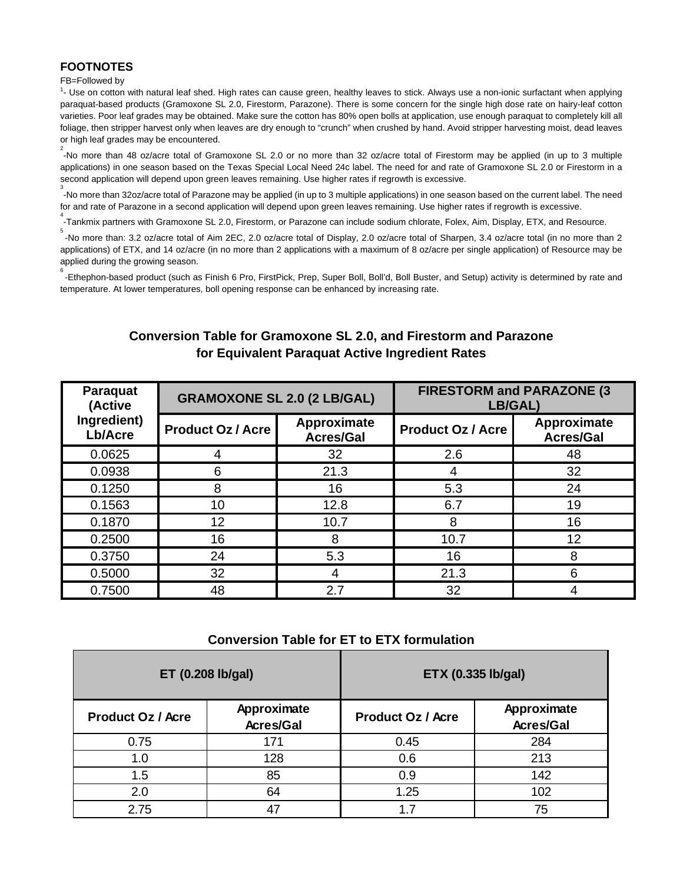## **FOOTNOTES**

#### FB=Followed by

<sup>1</sup>- Use on cotton with natural leaf shed. High rates can cause green, healthy leaves to stick. Always use a non-ionic surfactant when applying paraquat-based products (Gramoxone SL 2.0, Firestorm, Parazone). There is some concern for the single high dose rate on hairy-leaf cotton varieties. Poor leaf grades may be obtained. Make sure the cotton has 80% open bolls at application, use enough paraquat to completely kill all foliage, then stripper harvest only when leaves are dry enough to "crunch" when crushed by hand. Avoid stripper harvesting moist, dead leaves or high leaf grades may be encountered.

2 -No more than 48 oz/acre total of Gramoxone SL 2.0 or no more than 32 oz/acre total of Firestorm may be applied (in up to 3 multiple applications) in one season based on the Texas Special Local Need 24c label. The need for and rate of Gramoxone SL 2.0 or Firestorm in a second application will depend upon green leaves remaining. Use higher rates if regrowth is excessive.

-No more than 32oz/acre total of Parazone may be applied (in up to 3 multiple applications) in one season based on the current label. The need for and rate of Parazone in a second application will depend upon green leaves remaining. Use higher rates if regrowth is excessive. 4

.<br>-Tankmix partners with Gramoxone SL 2.0, Firestorm, or Parazone can include sodium chlorate, Folex, Aim, Display, ETX, and Resource.

-No more than: 3.2 oz/acre total of Aim 2EC, 2.0 oz/acre total of Display, 2.0 oz/acre total of Sharpen, 3.4 oz/acre total (in no more than 2 applications) of ETX, and 14 oz/acre (in no more than 2 applications with a maximum of 8 oz/acre per single application) of Resource may be applied during the growing season.

6 -Ethephon-based product (such as Finish 6 Pro, FirstPick, Prep, Super Boll, Boll'd, Boll Buster, and Setup) activity is determined by rate and temperature. At lower temperatures, boll opening response can be enhanced by increasing rate.

# **Conversion Table for Gramoxone SL 2.0, and Firestorm and Parazone for Equivalent Paraquat Active Ingredient Rates**

| Paraquat<br>(Active    | <b>GRAMOXONE SL 2.0 (2 LB/GAL)</b> |                                 | <b>FIRESTORM and PARAZONE (3)</b><br>LB/GAL) |                                 |
|------------------------|------------------------------------|---------------------------------|----------------------------------------------|---------------------------------|
| Ingredient)<br>Lb/Acre | <b>Product Oz / Acre</b>           | Approximate<br><b>Acres/Gal</b> | <b>Product Oz / Acre</b>                     | Approximate<br><b>Acres/Gal</b> |
| 0.0625                 |                                    | 32                              | 2.6                                          | 48                              |
| 0.0938                 | 6                                  | 21.3                            |                                              | 32                              |
| 0.1250                 | 8                                  | 16                              | 5.3                                          | 24                              |
| 0.1563                 | 10                                 | 12.8                            | 6.7                                          | 19                              |
| 0.1870                 | 12                                 | 10.7                            | 8                                            | 16                              |
| 0.2500                 | 16                                 | 8                               | 10.7                                         | 12                              |
| 0.3750                 | 24                                 | 5.3                             | 16                                           | 8                               |
| 0.5000                 | 32                                 |                                 | 21.3                                         | 6                               |
| 0.7500                 | 48                                 | 2.7                             | 32                                           |                                 |

#### **Conversion Table for ET to ETX formulation**

| ET (0.208 lb/gal)        |                                 | ETX (0.335 lb/gal)       |                                 |
|--------------------------|---------------------------------|--------------------------|---------------------------------|
| <b>Product Oz / Acre</b> | Approximate<br><b>Acres/Gal</b> | <b>Product Oz / Acre</b> | Approximate<br><b>Acres/Gal</b> |
| 0.75                     | 171                             | 0.45                     | 284                             |
| 1.0                      | 128                             | 0.6                      | 213                             |
| 1.5                      | 85                              | 0.9                      | 142                             |
| 2.0                      | 64                              | 1.25                     | 102                             |
| 2.75                     |                                 | 17                       | 75                              |